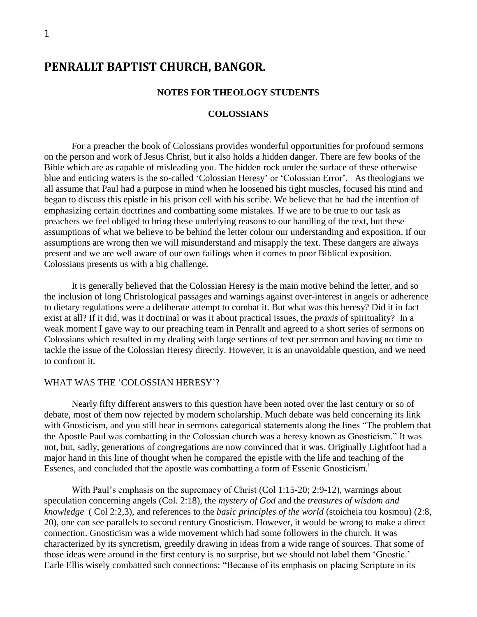# **PENRALLT BAPTIST CHURCH, BANGOR.**

#### **NOTES FOR THEOLOGY STUDENTS**

#### **COLOSSIANS**

For a preacher the book of Colossians provides wonderful opportunities for profound sermons on the person and work of Jesus Christ, but it also holds a hidden danger. There are few books of the Bible which are as capable of misleading you. The hidden rock under the surface of these otherwise blue and enticing waters is the so-called 'Colossian Heresy' or 'Colossian Error'. As theologians we all assume that Paul had a purpose in mind when he loosened his tight muscles, focused his mind and began to discuss this epistle in his prison cell with his scribe. We believe that he had the intention of emphasizing certain doctrines and combatting some mistakes. If we are to be true to our task as preachers we feel obliged to bring these underlying reasons to our handling of the text, but these assumptions of what we believe to be behind the letter colour our understanding and exposition. If our assumptions are wrong then we will misunderstand and misapply the text. These dangers are always present and we are well aware of our own failings when it comes to poor Biblical exposition. Colossians presents us with a big challenge.

It is generally believed that the Colossian Heresy is the main motive behind the letter, and so the inclusion of long Christological passages and warnings against over-interest in angels or adherence to dietary regulations were a deliberate attempt to combat it. But what was this heresy? Did it in fact exist at all? If it did, was it doctrinal or was it about practical issues, the *praxis* of spirituality? In a weak moment I gave way to our preaching team in Penrallt and agreed to a short series of sermons on Colossians which resulted in my dealing with large sections of text per sermon and having no time to tackle the issue of the Colossian Heresy directly. However, it is an unavoidable question, and we need to confront it.

#### WHAT WAS THE 'COLOSSIAN HERESY'?

Nearly fifty different answers to this question have been noted over the last century or so of debate, most of them now rejected by modern scholarship. Much debate was held concerning its link with Gnosticism, and you still hear in sermons categorical statements along the lines "The problem that the Apostle Paul was combatting in the Colossian church was a heresy known as Gnosticism." It was not, but, sadly, generations of congregations are now convinced that it was. Originally Lightfoot had a major hand in this line of thought when he compared the epistle with the life and teaching of the Essenes, and concluded that the apostle was combatting a form of Essenic Gnosticism.<sup>1</sup>

With Paul's emphasis on the supremacy of Christ (Col 1:15-20; 2:9-12), warnings about speculation concerning angels (Col. 2:18), the *mystery of God* and the *treasures of wisdom and knowledge* ( Col 2:2,3), and references to the *basic principles of the world* (stoicheia tou kosmou) (2:8, 20), one can see parallels to second century Gnosticism. However, it would be wrong to make a direct connection. Gnosticism was a wide movement which had some followers in the church. It was characterized by its syncretism, greedily drawing in ideas from a wide range of sources. That some of those ideas were around in the first century is no surprise, but we should not label them 'Gnostic.' Earle Ellis wisely combatted such connections: "Because of its emphasis on placing Scripture in its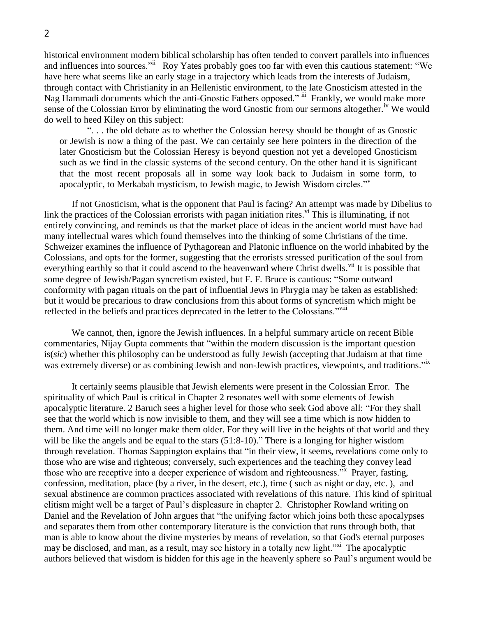historical environment modern biblical scholarship has often tended to convert parallels into influences and influences into sources." Roy Yates probably goes too far with even this cautious statement: "We have here what seems like an early stage in a trajectory which leads from the interests of Judaism, through contact with Christianity in an Hellenistic environment, to the late Gnosticism attested in the Nag Hammadi documents which the anti-Gnostic Fathers opposed." iii Frankly, we would make more sense of the Colossian Error by eliminating the word Gnostic from our sermons altogether.<sup>iv</sup> We would do well to heed Kiley on this subject:

". . . the old debate as to whether the Colossian heresy should be thought of as Gnostic or Jewish is now a thing of the past. We can certainly see here pointers in the direction of the later Gnosticism but the Colossian Heresy is beyond question not yet a developed Gnosticism such as we find in the classic systems of the second century. On the other hand it is significant that the most recent proposals all in some way look back to Judaism in some form, to apocalyptic, to Merkabah mysticism, to Jewish magic, to Jewish Wisdom circles."<sup>v</sup>

If not Gnosticism, what is the opponent that Paul is facing? An attempt was made by Dibelius to link the practices of the Colossian errorists with pagan initiation rites.<sup>vi</sup> This is illuminating, if not entirely convincing, and reminds us that the market place of ideas in the ancient world must have had many intellectual wares which found themselves into the thinking of some Christians of the time. Schweizer examines the influence of Pythagorean and Platonic influence on the world inhabited by the Colossians, and opts for the former, suggesting that the errorists stressed purification of the soul from everything earthly so that it could ascend to the heavenward where Christ dwells.<sup>vii</sup> It is possible that some degree of Jewish/Pagan syncretism existed, but F. F. Bruce is cautious: "Some outward conformity with pagan rituals on the part of influential Jews in Phrygia may be taken as established: but it would be precarious to draw conclusions from this about forms of syncretism which might be reflected in the beliefs and practices deprecated in the letter to the Colossians.<sup>"Viii</sup>

We cannot, then, ignore the Jewish influences. In a helpful summary article on recent Bible commentaries, Nijay Gupta comments that "within the modern discussion is the important question is(*sic*) whether this philosophy can be understood as fully Jewish (accepting that Judaism at that time was extremely diverse) or as combining Jewish and non-Jewish practices, viewpoints, and traditions."ix

It certainly seems plausible that Jewish elements were present in the Colossian Error. The spirituality of which Paul is critical in Chapter 2 resonates well with some elements of Jewish apocalyptic literature. 2 Baruch sees a higher level for those who seek God above all: "For they shall see that the world which is now invisible to them, and they will see a time which is now hidden to them. And time will no longer make them older. For they will live in the heights of that world and they will be like the angels and be equal to the stars  $(51:8-10)$ ." There is a longing for higher wisdom through revelation. Thomas Sappington explains that "in their view, it seems, revelations come only to those who are wise and righteous; conversely, such experiences and the teaching they convey lead those who are receptive into a deeper experience of wisdom and righteousness.<sup>35</sup> Prayer, fasting, confession, meditation, place (by a river, in the desert, etc.), time ( such as night or day, etc. ), and sexual abstinence are common practices associated with revelations of this nature. This kind of spiritual elitism might well be a target of Paul's displeasure in chapter 2. Christopher Rowland writing on Daniel and the Revelation of John argues that "the unifying factor which joins both these apocalypses and separates them from other contemporary literature is the conviction that runs through both, that man is able to know about the divine mysteries by means of revelation, so that God's eternal purposes may be disclosed, and man, as a result, may see history in a totally new light."<sup>xi</sup> The apocalyptic authors believed that wisdom is hidden for this age in the heavenly sphere so Paul's argument would be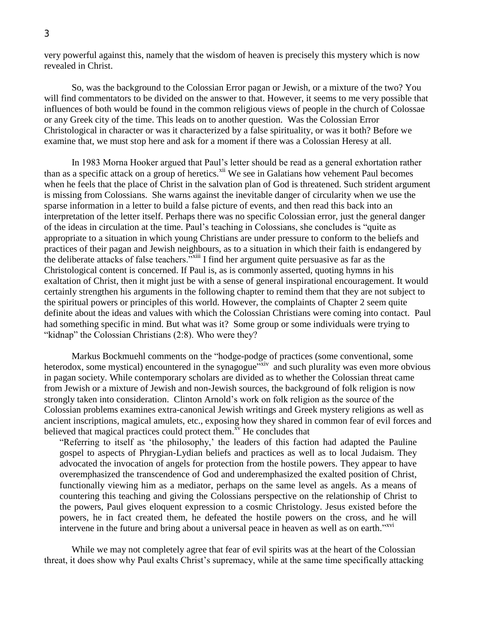very powerful against this, namely that the wisdom of heaven is precisely this mystery which is now revealed in Christ.

So, was the background to the Colossian Error pagan or Jewish, or a mixture of the two? You will find commentators to be divided on the answer to that. However, it seems to me very possible that influences of both would be found in the common religious views of people in the church of Colossae or any Greek city of the time. This leads on to another question. Was the Colossian Error Christological in character or was it characterized by a false spirituality, or was it both? Before we examine that, we must stop here and ask for a moment if there was a Colossian Heresy at all.

In 1983 Morna Hooker argued that Paul's letter should be read as a general exhortation rather than as a specific attack on a group of heretics.<sup>xii</sup> We see in Galatians how vehement Paul becomes when he feels that the place of Christ in the salvation plan of God is threatened. Such strident argument is missing from Colossians. She warns against the inevitable danger of circularity when we use the sparse information in a letter to build a false picture of events, and then read this back into an interpretation of the letter itself. Perhaps there was no specific Colossian error, just the general danger of the ideas in circulation at the time. Paul's teaching in Colossians, she concludes is "quite as appropriate to a situation in which young Christians are under pressure to conform to the beliefs and practices of their pagan and Jewish neighbours, as to a situation in which their faith is endangered by the deliberate attacks of false teachers."xiii I find her argument quite persuasive as far as the Christological content is concerned. If Paul is, as is commonly asserted, quoting hymns in his exaltation of Christ, then it might just be with a sense of general inspirational encouragement. It would certainly strengthen his arguments in the following chapter to remind them that they are not subject to the spiritual powers or principles of this world. However, the complaints of Chapter 2 seem quite definite about the ideas and values with which the Colossian Christians were coming into contact. Paul had something specific in mind. But what was it? Some group or some individuals were trying to "kidnap" the Colossian Christians (2:8). Who were they?

Markus Bockmuehl comments on the "hodge-podge of practices (some conventional, some heterodox, some mystical) encountered in the synagogue<sup>"xiv</sup> and such plurality was even more obvious in pagan society. While contemporary scholars are divided as to whether the Colossian threat came from Jewish or a mixture of Jewish and non-Jewish sources, the background of folk religion is now strongly taken into consideration. Clinton Arnold's work on folk religion as the source of the Colossian problems examines extra-canonical Jewish writings and Greek mystery religions as well as ancient inscriptions, magical amulets, etc., exposing how they shared in common fear of evil forces and believed that magical practices could protect them. $x<sup>v</sup>$  He concludes that

"Referring to itself as 'the philosophy,' the leaders of this faction had adapted the Pauline gospel to aspects of Phrygian-Lydian beliefs and practices as well as to local Judaism. They advocated the invocation of angels for protection from the hostile powers. They appear to have overemphasized the transcendence of God and underemphasized the exalted position of Christ, functionally viewing him as a mediator, perhaps on the same level as angels. As a means of countering this teaching and giving the Colossians perspective on the relationship of Christ to the powers, Paul gives eloquent expression to a cosmic Christology. Jesus existed before the powers, he in fact created them, he defeated the hostile powers on the cross, and he will intervene in the future and bring about a universal peace in heaven as well as on earth."<sup>xvi</sup>

While we may not completely agree that fear of evil spirits was at the heart of the Colossian threat, it does show why Paul exalts Christ's supremacy, while at the same time specifically attacking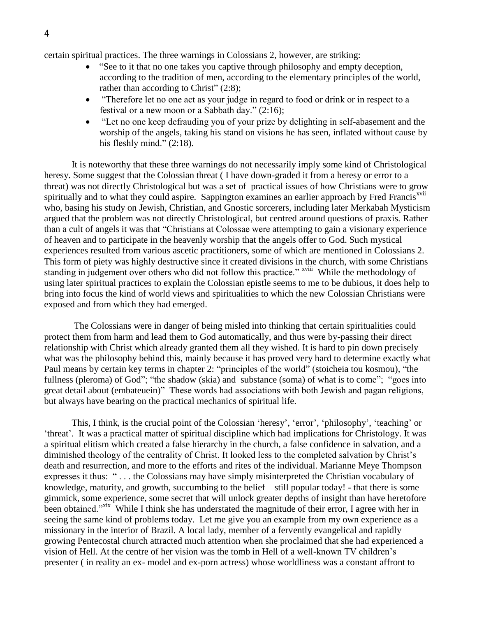certain spiritual practices. The three warnings in Colossians 2, however, are striking:

- "See to it that no one takes you captive through philosophy and empty deception, according to the tradition of men, according to the elementary principles of the world, rather than according to Christ" (2:8);
- "Therefore let no one act as your judge in regard to food or drink or in respect to a festival or a new moon or a Sabbath day." (2:16);
- "Let no one keep defrauding you of your prize by delighting in self-abasement and the worship of the angels, taking his stand on visions he has seen, inflated without cause by his fleshly mind." (2:18).

It is noteworthy that these three warnings do not necessarily imply some kind of Christological heresy. Some suggest that the Colossian threat ( I have down-graded it from a heresy or error to a threat) was not directly Christological but was a set of practical issues of how Christians were to grow spiritually and to what they could aspire. Sappington examines an earlier approach by Fred Francis<sup>xvii</sup> who, basing his study on Jewish, Christian, and Gnostic sorcerers, including later Merkabah Mysticism argued that the problem was not directly Christological, but centred around questions of praxis*.* Rather than a cult of angels it was that "Christians at Colossae were attempting to gain a visionary experience of heaven and to participate in the heavenly worship that the angels offer to God. Such mystical experiences resulted from various ascetic practitioners, some of which are mentioned in Colossians 2. This form of piety was highly destructive since it created divisions in the church, with some Christians standing in judgement over others who did not follow this practice." <sup>xviii</sup> While the methodology of using later spiritual practices to explain the Colossian epistle seems to me to be dubious, it does help to bring into focus the kind of world views and spiritualities to which the new Colossian Christians were exposed and from which they had emerged.

The Colossians were in danger of being misled into thinking that certain spiritualities could protect them from harm and lead them to God automatically, and thus were by-passing their direct relationship with Christ which already granted them all they wished. It is hard to pin down precisely what was the philosophy behind this, mainly because it has proved very hard to determine exactly what Paul means by certain key terms in chapter 2: "principles of the world" (stoicheia tou kosmou), "the fullness (pleroma) of God"; "the shadow (skia) and substance (soma) of what is to come"; "goes into great detail about (embateuein)" These words had associations with both Jewish and pagan religions, but always have bearing on the practical mechanics of spiritual life.

This, I think, is the crucial point of the Colossian 'heresy', 'error', 'philosophy', 'teaching' or 'threat'. It was a practical matter of spiritual discipline which had implications for Christology. It was a spiritual elitism which created a false hierarchy in the church, a false confidence in salvation, and a diminished theology of the centrality of Christ. It looked less to the completed salvation by Christ's death and resurrection, and more to the efforts and rites of the individual. Marianne Meye Thompson expresses it thus: " . . . the Colossians may have simply misinterpreted the Christian vocabulary of knowledge, maturity, and growth, succumbing to the belief – still popular today! - that there is some gimmick, some experience, some secret that will unlock greater depths of insight than have heretofore been obtained."<sup>xix</sup> While I think she has understated the magnitude of their error, I agree with her in seeing the same kind of problems today. Let me give you an example from my own experience as a missionary in the interior of Brazil. A local lady, member of a fervently evangelical and rapidly growing Pentecostal church attracted much attention when she proclaimed that she had experienced a vision of Hell. At the centre of her vision was the tomb in Hell of a well-known TV children's presenter ( in reality an ex- model and ex-porn actress) whose worldliness was a constant affront to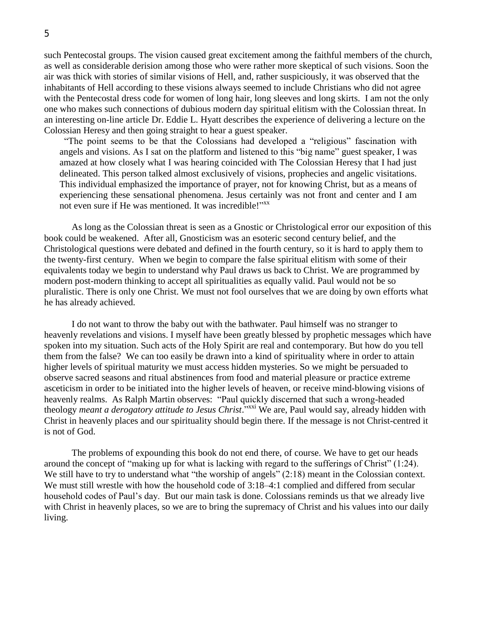such Pentecostal groups. The vision caused great excitement among the faithful members of the church, as well as considerable derision among those who were rather more skeptical of such visions. Soon the air was thick with stories of similar visions of Hell, and, rather suspiciously, it was observed that the inhabitants of Hell according to these visions always seemed to include Christians who did not agree with the Pentecostal dress code for women of long hair, long sleeves and long skirts. I am not the only one who makes such connections of dubious modern day spiritual elitism with the Colossian threat. In an interesting on-line article Dr. Eddie L. Hyatt describes the experience of delivering a lecture on the Colossian Heresy and then going straight to hear a guest speaker.

"The point seems to be that the Colossians had developed a "religious" fascination with angels and visions. As I sat on the platform and listened to this "big name" guest speaker, I was amazed at how closely what I was hearing coincided with The Colossian Heresy that I had just delineated. This person talked almost exclusively of visions, prophecies and angelic visitations. This individual emphasized the importance of prayer, not for knowing Christ, but as a means of experiencing these sensational phenomena. Jesus certainly was not front and center and I am not even sure if He was mentioned. It was incredible!"<sup>xx</sup>

As long as the Colossian threat is seen as a Gnostic or Christological error our exposition of this book could be weakened. After all, Gnosticism was an esoteric second century belief, and the Christological questions were debated and defined in the fourth century, so it is hard to apply them to the twenty-first century. When we begin to compare the false spiritual elitism with some of their equivalents today we begin to understand why Paul draws us back to Christ. We are programmed by modern post-modern thinking to accept all spiritualities as equally valid. Paul would not be so pluralistic. There is only one Christ. We must not fool ourselves that we are doing by own efforts what he has already achieved.

I do not want to throw the baby out with the bathwater. Paul himself was no stranger to heavenly revelations and visions. I myself have been greatly blessed by prophetic messages which have spoken into my situation. Such acts of the Holy Spirit are real and contemporary. But how do you tell them from the false? We can too easily be drawn into a kind of spirituality where in order to attain higher levels of spiritual maturity we must access hidden mysteries. So we might be persuaded to observe sacred seasons and ritual abstinences from food and material pleasure or practice extreme asceticism in order to be initiated into the higher levels of heaven, or receive mind-blowing visions of heavenly realms. As Ralph Martin observes: "Paul quickly discerned that such a wrong-headed theology *meant a derogatory attitude to Jesus Christ*<sup>2, xxi</sup> We are, Paul would say, already hidden with Christ in heavenly places and our spirituality should begin there. If the message is not Christ-centred it is not of God.

The problems of expounding this book do not end there, of course. We have to get our heads around the concept of "making up for what is lacking with regard to the sufferings of Christ" (1:24). We still have to try to understand what "the worship of angels"  $(2.18)$  meant in the Colossian context. We must still wrestle with how the household code of 3:18–4:1 complied and differed from secular household codes of Paul's day. But our main task is done. Colossians reminds us that we already live with Christ in heavenly places, so we are to bring the supremacy of Christ and his values into our daily living.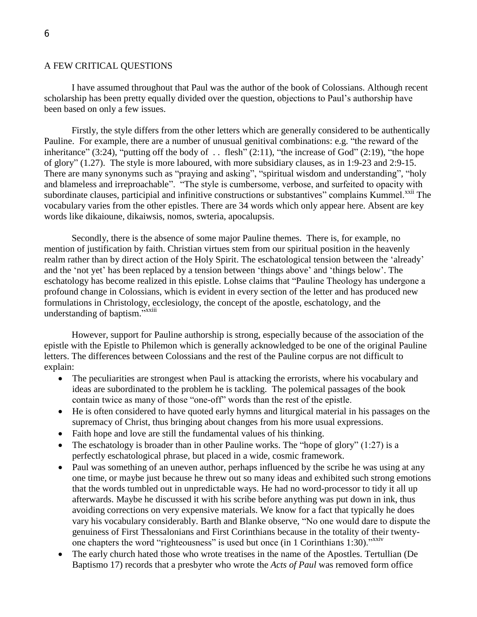## 6

#### A FEW CRITICAL QUESTIONS

I have assumed throughout that Paul was the author of the book of Colossians. Although recent scholarship has been pretty equally divided over the question, objections to Paul's authorship have been based on only a few issues.

Firstly, the style differs from the other letters which are generally considered to be authentically Pauline. For example, there are a number of unusual genitival combinations: e.g. "the reward of the inheritance"  $(3:24)$ , "putting off the body of ... flesh"  $(2:11)$ , "the increase of God"  $(2:19)$ , "the hope of glory" (1.27). The style is more laboured, with more subsidiary clauses, as in 1:9-23 and 2:9-15. There are many synonyms such as "praying and asking", "spiritual wisdom and understanding", "holy and blameless and irreproachable". "The style is cumbersome, verbose, and surfeited to opacity with subordinate clauses, participial and infinitive constructions or substantives" complains Kummel.<sup>xxii</sup> The vocabulary varies from the other epistles. There are 34 words which only appear here. Absent are key words like dikaioune, dikaiwsis, nomos, swteria, apocalupsis.

Secondly, there is the absence of some major Pauline themes. There is, for example, no mention of justification by faith. Christian virtues stem from our spiritual position in the heavenly realm rather than by direct action of the Holy Spirit. The eschatological tension between the 'already' and the 'not yet' has been replaced by a tension between 'things above' and 'things below'. The eschatology has become realized in this epistle. Lohse claims that "Pauline Theology has undergone a profound change in Colossians, which is evident in every section of the letter and has produced new formulations in Christology, ecclesiology, the concept of the apostle, eschatology, and the understanding of baptism."xxiii

However, support for Pauline authorship is strong, especially because of the association of the epistle with the Epistle to Philemon which is generally acknowledged to be one of the original Pauline letters. The differences between Colossians and the rest of the Pauline corpus are not difficult to explain:

- The peculiarities are strongest when Paul is attacking the errorists, where his vocabulary and ideas are subordinated to the problem he is tackling. The polemical passages of the book contain twice as many of those "one-off" words than the rest of the epistle.
- He is often considered to have quoted early hymns and liturgical material in his passages on the supremacy of Christ, thus bringing about changes from his more usual expressions.
- Faith hope and love are still the fundamental values of his thinking.
- The eschatology is broader than in other Pauline works. The "hope of glory"  $(1:27)$  is a perfectly eschatological phrase, but placed in a wide, cosmic framework.
- Paul was something of an uneven author, perhaps influenced by the scribe he was using at any one time, or maybe just because he threw out so many ideas and exhibited such strong emotions that the words tumbled out in unpredictable ways. He had no word-processor to tidy it all up afterwards. Maybe he discussed it with his scribe before anything was put down in ink, thus avoiding corrections on very expensive materials. We know for a fact that typically he does vary his vocabulary considerably. Barth and Blanke observe, "No one would dare to dispute the genuiness of First Thessalonians and First Corinthians because in the totality of their twentyone chapters the word "righteousness" is used but once (in 1 Corinthians 1:30)."<sup>xxiv</sup>
- The early church hated those who wrote treatises in the name of the Apostles. Tertullian (De Baptismo 17) records that a presbyter who wrote the *Acts of Paul* was removed form office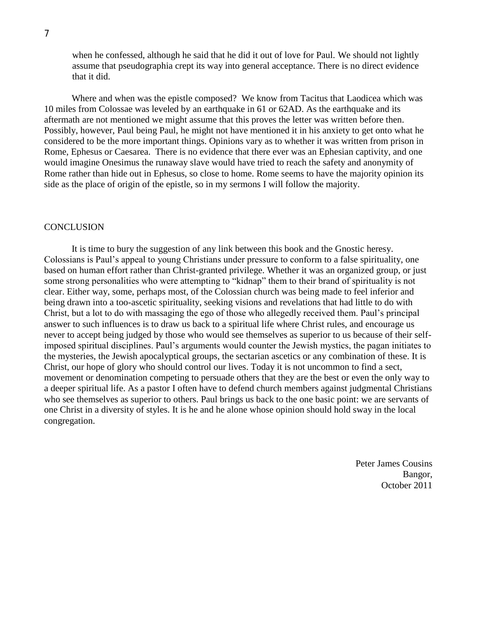when he confessed, although he said that he did it out of love for Paul. We should not lightly assume that pseudographia crept its way into general acceptance. There is no direct evidence that it did.

Where and when was the epistle composed? We know from Tacitus that Laodicea which was 10 miles from Colossae was leveled by an earthquake in 61 or 62AD. As the earthquake and its aftermath are not mentioned we might assume that this proves the letter was written before then. Possibly, however, Paul being Paul, he might not have mentioned it in his anxiety to get onto what he considered to be the more important things. Opinions vary as to whether it was written from prison in Rome, Ephesus or Caesarea. There is no evidence that there ever was an Ephesian captivity, and one would imagine Onesimus the runaway slave would have tried to reach the safety and anonymity of Rome rather than hide out in Ephesus, so close to home. Rome seems to have the majority opinion its side as the place of origin of the epistle, so in my sermons I will follow the majority.

### **CONCLUSION**

It is time to bury the suggestion of any link between this book and the Gnostic heresy. Colossians is Paul's appeal to young Christians under pressure to conform to a false spirituality, one based on human effort rather than Christ-granted privilege. Whether it was an organized group, or just some strong personalities who were attempting to "kidnap" them to their brand of spirituality is not clear. Either way, some, perhaps most, of the Colossian church was being made to feel inferior and being drawn into a too-ascetic spirituality, seeking visions and revelations that had little to do with Christ, but a lot to do with massaging the ego of those who allegedly received them. Paul's principal answer to such influences is to draw us back to a spiritual life where Christ rules, and encourage us never to accept being judged by those who would see themselves as superior to us because of their selfimposed spiritual disciplines. Paul's arguments would counter the Jewish mystics, the pagan initiates to the mysteries, the Jewish apocalyptical groups, the sectarian ascetics or any combination of these. It is Christ, our hope of glory who should control our lives. Today it is not uncommon to find a sect, movement or denomination competing to persuade others that they are the best or even the only way to a deeper spiritual life. As a pastor I often have to defend church members against judgmental Christians who see themselves as superior to others. Paul brings us back to the one basic point: we are servants of one Christ in a diversity of styles. It is he and he alone whose opinion should hold sway in the local congregation.

> Peter James Cousins Bangor, October 2011